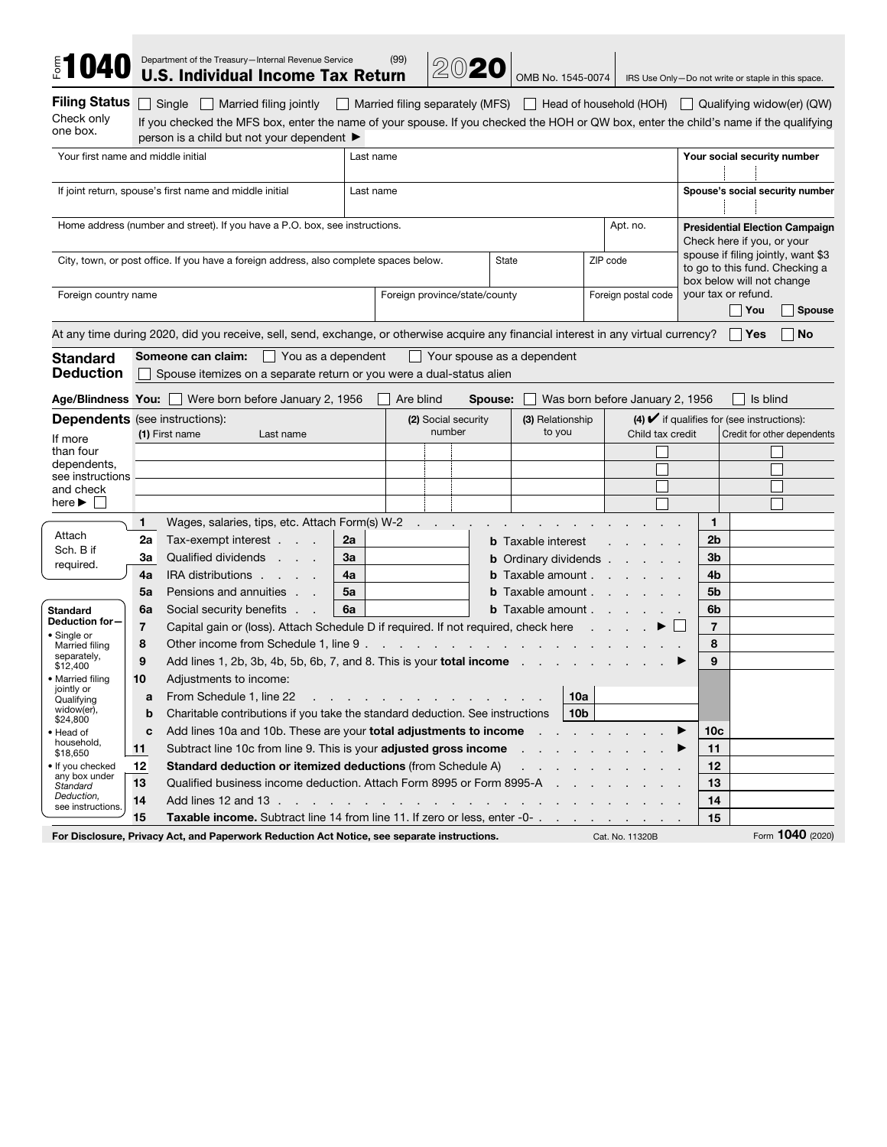| <b>\$1040</b>                                  |                                                                   |                             | Department of the Treasury-Internal Revenue Service<br><b>U.S. Individual Income Tax Return</b>                                                                                                                      |    |           | (99)                                                                                                            |                                                          | 2020                |              | OMB No. 1545-0074                 |                              |                |                                 |                             |                                                                                                   |                                                                | IRS Use Only-Do not write or staple in this space.                                    |  |
|------------------------------------------------|-------------------------------------------------------------------|-----------------------------|----------------------------------------------------------------------------------------------------------------------------------------------------------------------------------------------------------------------|----|-----------|-----------------------------------------------------------------------------------------------------------------|----------------------------------------------------------|---------------------|--------------|-----------------------------------|------------------------------|----------------|---------------------------------|-----------------------------|---------------------------------------------------------------------------------------------------|----------------------------------------------------------------|---------------------------------------------------------------------------------------|--|
| <b>Filing Status</b><br>Check only<br>one box. |                                                                   |                             | Single Married filing jointly<br>If you checked the MFS box, enter the name of your spouse. If you checked the HOH or QW box, enter the child's name if the qualifying<br>person is a child but not your dependent ▶ |    |           |                                                                                                                 |                                                          |                     |              |                                   |                              |                |                                 |                             |                                                                                                   |                                                                | Married filing separately (MFS)   Head of household (HOH)   Qualifying widow(er) (QW) |  |
| Your first name and middle initial             |                                                                   |                             |                                                                                                                                                                                                                      |    | Last name |                                                                                                                 |                                                          |                     |              |                                   |                              |                |                                 |                             |                                                                                                   |                                                                | Your social security number                                                           |  |
|                                                |                                                                   |                             | If joint return, spouse's first name and middle initial                                                                                                                                                              |    | Last name |                                                                                                                 |                                                          |                     |              |                                   |                              |                |                                 |                             |                                                                                                   |                                                                | Spouse's social security number                                                       |  |
|                                                |                                                                   |                             | Home address (number and street). If you have a P.O. box, see instructions.                                                                                                                                          |    |           |                                                                                                                 |                                                          |                     |              |                                   |                              |                | Apt. no.                        |                             |                                                                                                   | Check here if you, or your                                     | <b>Presidential Election Campaign</b>                                                 |  |
|                                                |                                                                   |                             | City, town, or post office. If you have a foreign address, also complete spaces below.                                                                                                                               |    |           |                                                                                                                 |                                                          |                     | <b>State</b> |                                   |                              | ZIP code       |                                 |                             | spouse if filing jointly, want \$3<br>to go to this fund. Checking a<br>box below will not change |                                                                |                                                                                       |  |
| Foreign country name                           |                                                                   |                             |                                                                                                                                                                                                                      |    |           | Foreign province/state/county                                                                                   |                                                          |                     |              |                                   |                              |                | Foreign postal code             |                             |                                                                                                   | your tax or refund.<br>  You<br><b>Spouse</b>                  |                                                                                       |  |
|                                                |                                                                   |                             | At any time during 2020, did you receive, sell, send, exchange, or otherwise acquire any financial interest in any virtual currency? $\Box$ Yes                                                                      |    |           |                                                                                                                 |                                                          |                     |              |                                   |                              |                |                                 |                             |                                                                                                   |                                                                | <b>No</b>                                                                             |  |
| <b>Standard</b><br><b>Deduction</b>            |                                                                   |                             | <b>Someone can claim:</b> $\Box$ You as a dependent<br>Spouse itemizes on a separate return or you were a dual-status alien                                                                                          |    |           |                                                                                                                 |                                                          |                     |              | $\Box$ Your spouse as a dependent |                              |                |                                 |                             |                                                                                                   |                                                                |                                                                                       |  |
|                                                |                                                                   |                             | Age/Blindness You: U Were born before January 2, 1956                                                                                                                                                                |    |           | Are blind                                                                                                       |                                                          |                     | Spouse:      |                                   |                              |                | Was born before January 2, 1956 |                             |                                                                                                   |                                                                | Is blind                                                                              |  |
| <b>Dependents</b> (see instructions):          |                                                                   |                             |                                                                                                                                                                                                                      |    |           |                                                                                                                 |                                                          | (2) Social security |              | (3) Relationship                  |                              |                |                                 |                             |                                                                                                   | (4) $\blacktriangleright$ if qualifies for (see instructions): |                                                                                       |  |
| If more                                        |                                                                   | (1) First name<br>Last name |                                                                                                                                                                                                                      |    | number    |                                                                                                                 | to you                                                   |                     |              | Child tax credit                  |                              |                |                                 | Credit for other dependents |                                                                                                   |                                                                |                                                                                       |  |
| than four                                      |                                                                   |                             |                                                                                                                                                                                                                      |    |           |                                                                                                                 |                                                          |                     |              |                                   |                              |                |                                 |                             |                                                                                                   |                                                                |                                                                                       |  |
| dependents,<br>see instructions                |                                                                   |                             |                                                                                                                                                                                                                      |    |           |                                                                                                                 |                                                          |                     |              |                                   |                              |                |                                 |                             |                                                                                                   |                                                                |                                                                                       |  |
| and check<br>here $\blacktriangleright$        |                                                                   |                             |                                                                                                                                                                                                                      |    |           |                                                                                                                 |                                                          |                     |              |                                   |                              |                |                                 |                             |                                                                                                   |                                                                |                                                                                       |  |
|                                                |                                                                   | 1                           | Wages, salaries, tips, etc. Attach Form(s) W-2                                                                                                                                                                       |    |           |                                                                                                                 | $\sim$ $\sim$ $\sim$                                     |                     |              | $\sim$                            |                              |                |                                 |                             | $\mathbf{1}$                                                                                      |                                                                |                                                                                       |  |
| Attach                                         |                                                                   | 2a                          | Tax-exempt interest                                                                                                                                                                                                  | 2a |           |                                                                                                                 |                                                          |                     |              |                                   |                              |                |                                 |                             | 2 <sub>b</sub>                                                                                    |                                                                |                                                                                       |  |
| Sch. B if                                      |                                                                   | За                          | Qualified dividends                                                                                                                                                                                                  | 3a |           |                                                                                                                 | <b>b</b> Taxable interest<br><b>b</b> Ordinary dividends |                     |              |                                   |                              | 3 <sub>b</sub> |                                 |                             |                                                                                                   |                                                                |                                                                                       |  |
| required.                                      |                                                                   | 4a                          | IRA distributions                                                                                                                                                                                                    | 4a |           |                                                                                                                 |                                                          |                     |              | <b>b</b> Taxable amount $\ldots$  |                              |                |                                 |                             | 4b                                                                                                |                                                                |                                                                                       |  |
|                                                |                                                                   | 5a                          | Pensions and annuities                                                                                                                                                                                               | 5a |           |                                                                                                                 |                                                          |                     |              | <b>b</b> Taxable amount $\cdots$  |                              |                |                                 |                             | 5 <sub>b</sub>                                                                                    |                                                                |                                                                                       |  |
| <b>Standard</b>                                |                                                                   | 6a                          | Social security benefits                                                                                                                                                                                             | 6a |           |                                                                                                                 |                                                          |                     |              | <b>b</b> Taxable amount $\ldots$  |                              |                |                                 |                             | 6b                                                                                                |                                                                |                                                                                       |  |
| Deduction for-                                 |                                                                   | 7                           | Capital gain or (loss). Attach Schedule D if required. If not required, check here                                                                                                                                   |    |           |                                                                                                                 |                                                          |                     |              |                                   |                              |                |                                 |                             | $\overline{7}$                                                                                    |                                                                |                                                                                       |  |
| • Single or<br>Married filing                  |                                                                   | 8                           | Other income from Schedule 1, line 9.                                                                                                                                                                                |    |           |                                                                                                                 |                                                          |                     |              |                                   |                              |                |                                 |                             | 8                                                                                                 |                                                                |                                                                                       |  |
| separately,<br>\$12,400                        |                                                                   | 9                           | Add lines 1, 2b, 3b, 4b, 5b, 6b, 7, and 8. This is your <b>total income</b>                                                                                                                                          |    |           |                                                                                                                 |                                                          |                     |              |                                   |                              |                |                                 |                             | 9                                                                                                 |                                                                |                                                                                       |  |
| • Married filing                               |                                                                   | 10                          | Adjustments to income:                                                                                                                                                                                               |    |           |                                                                                                                 |                                                          |                     |              |                                   |                              |                |                                 |                             |                                                                                                   |                                                                |                                                                                       |  |
| jointly or<br>Qualifying                       |                                                                   |                             | From Schedule 1, line 22<br>the contract of the contract of the contract of the contract of the contract of the contract of the contract of                                                                          |    |           |                                                                                                                 |                                                          |                     |              |                                   | 10a                          |                |                                 |                             |                                                                                                   |                                                                |                                                                                       |  |
| widow(er),<br>\$24,800                         |                                                                   | b                           | Charitable contributions if you take the standard deduction. See instructions                                                                                                                                        |    |           |                                                                                                                 |                                                          |                     |              |                                   | 10 <sub>b</sub>              |                |                                 |                             |                                                                                                   |                                                                |                                                                                       |  |
| • Head of                                      |                                                                   | C                           | Add lines 10a and 10b. These are your <b>total adjustments to income</b>                                                                                                                                             |    |           |                                                                                                                 |                                                          |                     |              |                                   | and the contract of the con- |                |                                 |                             | 10c                                                                                               |                                                                |                                                                                       |  |
| household,<br>\$18,650                         |                                                                   | 11                          | Subtract line 10c from line 9. This is your adjusted gross income                                                                                                                                                    |    |           |                                                                                                                 |                                                          |                     |              |                                   |                              |                |                                 |                             | 11                                                                                                |                                                                |                                                                                       |  |
| • If you checked                               | Standard deduction or itemized deductions (from Schedule A)<br>12 |                             |                                                                                                                                                                                                                      |    |           |                                                                                                                 | 12                                                       |                     |              |                                   |                              |                |                                 |                             |                                                                                                   |                                                                |                                                                                       |  |
| any box under<br>Standard                      |                                                                   | 13                          | Qualified business income deduction. Attach Form 8995 or Form 8995-A                                                                                                                                                 |    |           |                                                                                                                 |                                                          |                     |              |                                   |                              |                |                                 |                             | 13                                                                                                |                                                                |                                                                                       |  |
| Deduction,<br>see instructions.                |                                                                   | 14                          | Add lines 12 and 13                                                                                                                                                                                                  |    |           | the contract of the contract of the contract of the contract of the contract of the contract of the contract of |                                                          |                     |              |                                   |                              |                |                                 |                             | 14                                                                                                |                                                                |                                                                                       |  |
|                                                |                                                                   | 15                          | Taxable income. Subtract line 14 from line 11. If zero or less, enter -0-                                                                                                                                            |    |           |                                                                                                                 |                                                          |                     |              |                                   |                              |                |                                 |                             | 15                                                                                                |                                                                |                                                                                       |  |
|                                                |                                                                   |                             | For Disclosure, Privacy Act, and Paperwork Reduction Act Notice, see separate instructions.                                                                                                                          |    |           |                                                                                                                 |                                                          |                     |              |                                   |                              |                | Cat. No. 11320B                 |                             |                                                                                                   |                                                                | Form 1040 (2020)                                                                      |  |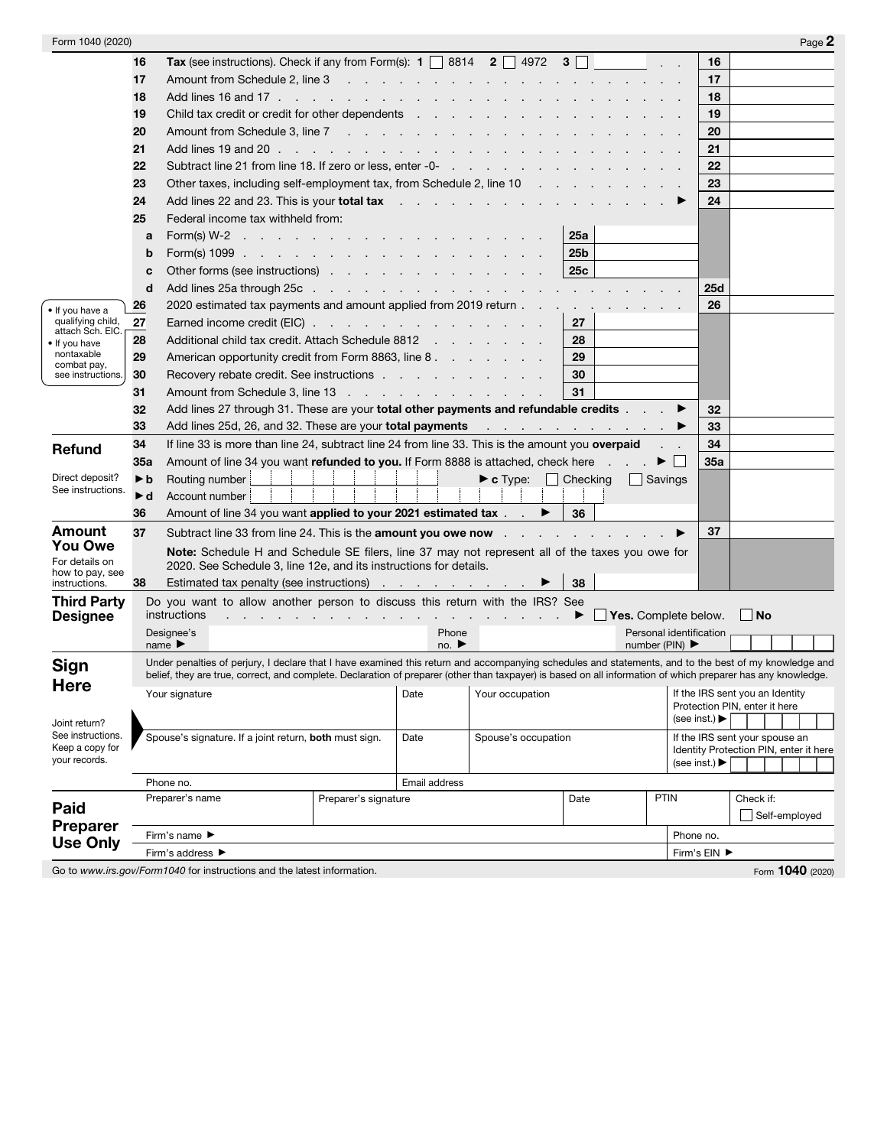| Form 1040 (2020)                  |                                                                                                                                                                                                                                                                                                                                                                                                             |                                                                                                                                                                                                                                                                                                                       |                      |                           |                                   |                 |                                    |                                   | Page 2                                 |  |
|-----------------------------------|-------------------------------------------------------------------------------------------------------------------------------------------------------------------------------------------------------------------------------------------------------------------------------------------------------------------------------------------------------------------------------------------------------------|-----------------------------------------------------------------------------------------------------------------------------------------------------------------------------------------------------------------------------------------------------------------------------------------------------------------------|----------------------|---------------------------|-----------------------------------|-----------------|------------------------------------|-----------------------------------|----------------------------------------|--|
|                                   | 16                                                                                                                                                                                                                                                                                                                                                                                                          | <b>Tax</b> (see instructions). Check if any from Form(s): $\mathbf{1}$   8814 $\mathbf{2}$   4972 $\mathbf{3}$                                                                                                                                                                                                        |                      |                           |                                   |                 |                                    | 16                                |                                        |  |
|                                   | 17                                                                                                                                                                                                                                                                                                                                                                                                          | Amount from Schedule 2, line 3 and 2 and 2 and 2 and 2 and 2 and 2 and 2 and 2 and 2 and 2 and 2 and 2 and 2 and 2 and 2 and 2 and 2 and 2 and 2 and 2 and 2 and 2 and 2 and 2 and 2 and 2 and 2 and 2 and 2 and 2 and 2 and 2                                                                                        |                      |                           |                                   |                 |                                    | 17                                |                                        |  |
|                                   | 18                                                                                                                                                                                                                                                                                                                                                                                                          |                                                                                                                                                                                                                                                                                                                       |                      |                           |                                   |                 |                                    | 18                                |                                        |  |
|                                   | 19                                                                                                                                                                                                                                                                                                                                                                                                          | Child tax credit or credit for other dependents                                                                                                                                                                                                                                                                       |                      |                           |                                   |                 |                                    | 19                                |                                        |  |
|                                   | 20                                                                                                                                                                                                                                                                                                                                                                                                          |                                                                                                                                                                                                                                                                                                                       |                      |                           |                                   |                 |                                    | 20                                |                                        |  |
|                                   | 21                                                                                                                                                                                                                                                                                                                                                                                                          |                                                                                                                                                                                                                                                                                                                       |                      |                           |                                   |                 |                                    | 21                                |                                        |  |
|                                   | 22                                                                                                                                                                                                                                                                                                                                                                                                          |                                                                                                                                                                                                                                                                                                                       |                      |                           |                                   |                 |                                    | 22                                |                                        |  |
|                                   | 23                                                                                                                                                                                                                                                                                                                                                                                                          | Other taxes, including self-employment tax, from Schedule 2, line 10                                                                                                                                                                                                                                                  |                      |                           |                                   |                 |                                    | 23                                |                                        |  |
|                                   | 24                                                                                                                                                                                                                                                                                                                                                                                                          | Add lines 22 and 23. This is your total tax referred to the contract of the contract of the contract of the contract of the contract of the contract of the contract of the contract of the contract of the contract of the co                                                                                        |                      |                           |                                   |                 |                                    | 24                                |                                        |  |
|                                   | 25                                                                                                                                                                                                                                                                                                                                                                                                          | Federal income tax withheld from:                                                                                                                                                                                                                                                                                     |                      |                           |                                   |                 |                                    |                                   |                                        |  |
|                                   | a                                                                                                                                                                                                                                                                                                                                                                                                           | Form(s) W-2                                                                                                                                                                                                                                                                                                           |                      |                           |                                   | 25a             |                                    |                                   |                                        |  |
|                                   | b                                                                                                                                                                                                                                                                                                                                                                                                           |                                                                                                                                                                                                                                                                                                                       |                      |                           |                                   | 25 <sub>b</sub> |                                    |                                   |                                        |  |
|                                   | C                                                                                                                                                                                                                                                                                                                                                                                                           | Other forms (see instructions) enterstanding to the contract of the contract of the contract of the contract of the contract of the contract of the contract of the contract of the contract of the contract of the contract o                                                                                        |                      |                           |                                   | 25c             |                                    |                                   |                                        |  |
|                                   | d                                                                                                                                                                                                                                                                                                                                                                                                           |                                                                                                                                                                                                                                                                                                                       |                      |                           |                                   |                 |                                    | <b>25d</b>                        |                                        |  |
| • If you have a                   | 26                                                                                                                                                                                                                                                                                                                                                                                                          | 2020 estimated tax payments and amount applied from 2019 return                                                                                                                                                                                                                                                       |                      |                           |                                   |                 |                                    | 26                                |                                        |  |
| qualifying child,                 | 27                                                                                                                                                                                                                                                                                                                                                                                                          | Earned income credit (EIC)                                                                                                                                                                                                                                                                                            |                      |                           |                                   | 27              |                                    |                                   |                                        |  |
| attach Sch. EIC.<br>• If you have | 28                                                                                                                                                                                                                                                                                                                                                                                                          | Additional child tax credit. Attach Schedule 8812                                                                                                                                                                                                                                                                     |                      |                           |                                   | 28              |                                    |                                   |                                        |  |
| nontaxable                        | 29                                                                                                                                                                                                                                                                                                                                                                                                          | American opportunity credit from Form 8863, line 8.                                                                                                                                                                                                                                                                   |                      |                           |                                   | 29              |                                    |                                   |                                        |  |
| combat pay,<br>see instructions.  | 30                                                                                                                                                                                                                                                                                                                                                                                                          | Recovery rebate credit. See instructions                                                                                                                                                                                                                                                                              |                      |                           |                                   | 30              |                                    |                                   |                                        |  |
|                                   | 31                                                                                                                                                                                                                                                                                                                                                                                                          | Amount from Schedule 3, line 13                                                                                                                                                                                                                                                                                       |                      |                           |                                   | 31              |                                    |                                   |                                        |  |
|                                   | 32                                                                                                                                                                                                                                                                                                                                                                                                          | Add lines 27 through 31. These are your total other payments and refundable credits                                                                                                                                                                                                                                   |                      |                           |                                   |                 |                                    | 32                                |                                        |  |
|                                   | 33                                                                                                                                                                                                                                                                                                                                                                                                          |                                                                                                                                                                                                                                                                                                                       |                      |                           |                                   |                 |                                    | 33                                |                                        |  |
| <b>Refund</b>                     | 34                                                                                                                                                                                                                                                                                                                                                                                                          | If line 33 is more than line 24, subtract line 24 from line 33. This is the amount you overpaid                                                                                                                                                                                                                       |                      |                           |                                   |                 |                                    | 34                                |                                        |  |
|                                   | 35а                                                                                                                                                                                                                                                                                                                                                                                                         | Amount of line 34 you want refunded to you. If Form 8888 is attached, check here                                                                                                                                                                                                                                      |                      |                           |                                   |                 |                                    | 35a                               |                                        |  |
| Direct deposit?                   | $\blacktriangleright$ b                                                                                                                                                                                                                                                                                                                                                                                     | Routing number                                                                                                                                                                                                                                                                                                        |                      |                           | $\triangleright$ c Type: Checking |                 | Savings                            |                                   |                                        |  |
| See instructions.                 | $\blacktriangleright$ d                                                                                                                                                                                                                                                                                                                                                                                     | Account number                                                                                                                                                                                                                                                                                                        |                      |                           |                                   |                 |                                    |                                   |                                        |  |
|                                   | 36                                                                                                                                                                                                                                                                                                                                                                                                          | Amount of line 34 you want applied to your 2021 estimated tax $\blacksquare$                                                                                                                                                                                                                                          |                      |                           |                                   | 36              |                                    |                                   |                                        |  |
| Amount                            | 37                                                                                                                                                                                                                                                                                                                                                                                                          |                                                                                                                                                                                                                                                                                                                       |                      |                           |                                   |                 |                                    | 37                                |                                        |  |
| <b>You Owe</b>                    | Subtract line 33 from line 24. This is the <b>amount you owe now</b> entitled and the set of the set of the set of the set of the set of the set of the set of the set of the set of the set of the set of the set of the set of th<br>Note: Schedule H and Schedule SE filers, line 37 may not represent all of the taxes you owe for<br>2020. See Schedule 3, line 12e, and its instructions for details. |                                                                                                                                                                                                                                                                                                                       |                      |                           |                                   |                 |                                    |                                   |                                        |  |
| For details on                    |                                                                                                                                                                                                                                                                                                                                                                                                             |                                                                                                                                                                                                                                                                                                                       |                      |                           |                                   |                 |                                    |                                   |                                        |  |
| how to pay, see<br>instructions.  | 38                                                                                                                                                                                                                                                                                                                                                                                                          | Estimated tax penalty (see instructions) example and solution of the state of the state of the state of the state of the state of the state of the state of the state of the state of the state of the state of the state of t                                                                                        |                      |                           |                                   | 38              |                                    |                                   |                                        |  |
| <b>Third Party</b>                |                                                                                                                                                                                                                                                                                                                                                                                                             | Do you want to allow another person to discuss this return with the IRS? See                                                                                                                                                                                                                                          |                      |                           |                                   |                 |                                    |                                   |                                        |  |
| <b>Designee</b>                   |                                                                                                                                                                                                                                                                                                                                                                                                             | instructions<br><u>Nes. Complete below</u> . <b>a</b> complete below.                                                                                                                                                                                                                                                 |                      |                           |                                   |                 |                                    |                                   | $\vert$ No                             |  |
|                                   |                                                                                                                                                                                                                                                                                                                                                                                                             | Designee's                                                                                                                                                                                                                                                                                                            |                      | Phone                     |                                   |                 | Personal identification            |                                   |                                        |  |
|                                   |                                                                                                                                                                                                                                                                                                                                                                                                             | name $\blacktriangleright$                                                                                                                                                                                                                                                                                            |                      | no. $\blacktriangleright$ |                                   |                 | number (PIN) $\blacktriangleright$ |                                   |                                        |  |
| Sign                              |                                                                                                                                                                                                                                                                                                                                                                                                             | Under penalties of perjury, I declare that I have examined this return and accompanying schedules and statements, and to the best of my knowledge and<br>belief, they are true, correct, and complete. Declaration of preparer (other than taxpayer) is based on all information of which preparer has any knowledge. |                      |                           |                                   |                 |                                    |                                   |                                        |  |
| <b>Here</b>                       |                                                                                                                                                                                                                                                                                                                                                                                                             |                                                                                                                                                                                                                                                                                                                       |                      | Date                      | Your occupation                   |                 |                                    |                                   | If the IRS sent you an Identity        |  |
|                                   |                                                                                                                                                                                                                                                                                                                                                                                                             | Your signature                                                                                                                                                                                                                                                                                                        |                      |                           |                                   |                 |                                    |                                   | Protection PIN, enter it here          |  |
| Joint return?                     |                                                                                                                                                                                                                                                                                                                                                                                                             |                                                                                                                                                                                                                                                                                                                       |                      |                           |                                   |                 |                                    | (see inst.) $\blacktriangleright$ |                                        |  |
| See instructions.                 |                                                                                                                                                                                                                                                                                                                                                                                                             | Spouse's signature. If a joint return, both must sign.                                                                                                                                                                                                                                                                |                      | Date                      | Spouse's occupation               |                 |                                    |                                   | If the IRS sent your spouse an         |  |
| Keep a copy for<br>your records.  |                                                                                                                                                                                                                                                                                                                                                                                                             |                                                                                                                                                                                                                                                                                                                       |                      |                           |                                   |                 |                                    | (see inst.) $\blacktriangleright$ | Identity Protection PIN, enter it here |  |
|                                   |                                                                                                                                                                                                                                                                                                                                                                                                             |                                                                                                                                                                                                                                                                                                                       |                      |                           |                                   |                 |                                    |                                   |                                        |  |
|                                   |                                                                                                                                                                                                                                                                                                                                                                                                             | Phone no.                                                                                                                                                                                                                                                                                                             |                      | Email address             |                                   |                 |                                    |                                   |                                        |  |
| Paid                              |                                                                                                                                                                                                                                                                                                                                                                                                             | Preparer's name                                                                                                                                                                                                                                                                                                       | Preparer's signature |                           |                                   | Date            | <b>PTIN</b>                        |                                   | Check if:                              |  |
| <b>Preparer</b>                   |                                                                                                                                                                                                                                                                                                                                                                                                             |                                                                                                                                                                                                                                                                                                                       |                      |                           |                                   |                 |                                    |                                   | Self-employed                          |  |
| <b>Use Only</b>                   |                                                                                                                                                                                                                                                                                                                                                                                                             | Firm's name ▶                                                                                                                                                                                                                                                                                                         |                      |                           |                                   |                 |                                    | Phone no.                         |                                        |  |
|                                   | Firm's address ▶                                                                                                                                                                                                                                                                                                                                                                                            |                                                                                                                                                                                                                                                                                                                       |                      |                           |                                   |                 |                                    | Firm's EIN ▶                      |                                        |  |

Go to www.irs.gov/Form1040 for instructions and the latest information. **Form 1040 Form 1040** (2020)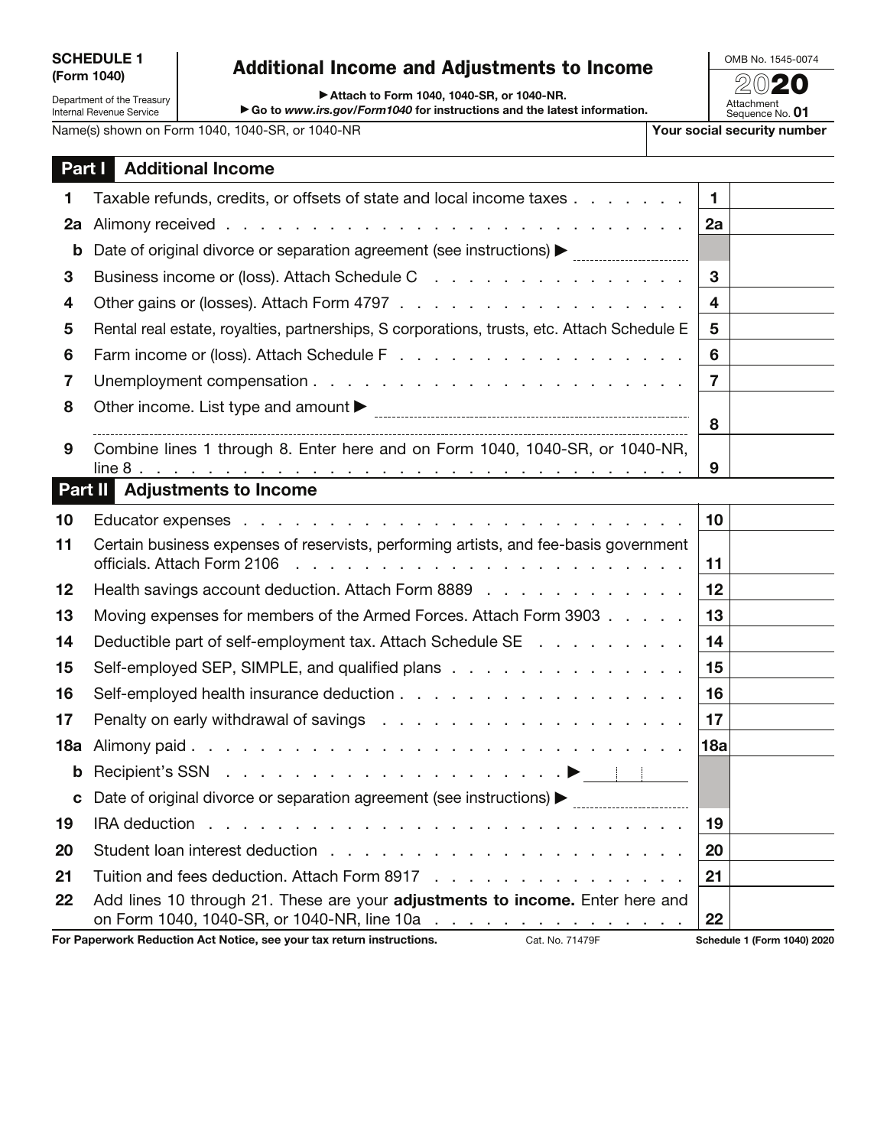## **Additional Income and Adjustments to Income** ▶ Attach to Form 1040, 1040-SR, or 1040-NR.

▶ Go to www.irs.gov/Form1040 for instructions and the latest information.

OMB No. 1545-0074 20**20**

Department of the Treasury Internal Revenue Service

Attachment Sequence No. **01**

Name(s) shown on Form 1040, 1040-SR, or 1040-NR **Your social security number** 

|         | <b>Part   Additional Income</b>                                                                                                                                                                                                                                     |                 |  |
|---------|---------------------------------------------------------------------------------------------------------------------------------------------------------------------------------------------------------------------------------------------------------------------|-----------------|--|
| 1.      | Taxable refunds, credits, or offsets of state and local income taxes                                                                                                                                                                                                | $\mathbf{1}$    |  |
| 2a      |                                                                                                                                                                                                                                                                     | 2a              |  |
| b       | Date of original divorce or separation agreement (see instructions) > manu-manu-manu-                                                                                                                                                                               |                 |  |
| 3       | Business income or (loss). Attach Schedule C                                                                                                                                                                                                                        | 3               |  |
| 4       |                                                                                                                                                                                                                                                                     | 4               |  |
| 5       | Rental real estate, royalties, partnerships, S corporations, trusts, etc. Attach Schedule E                                                                                                                                                                         | 5               |  |
| 6       |                                                                                                                                                                                                                                                                     | 6               |  |
| 7       |                                                                                                                                                                                                                                                                     | $\overline{7}$  |  |
| 8       |                                                                                                                                                                                                                                                                     |                 |  |
|         |                                                                                                                                                                                                                                                                     | 8               |  |
| 9       | Combine lines 1 through 8. Enter here and on Form 1040, 1040-SR, or 1040-NR,<br>line 8.                                                                                                                                                                             | 9               |  |
| Part II | <b>Adjustments to Income</b>                                                                                                                                                                                                                                        |                 |  |
| 10      |                                                                                                                                                                                                                                                                     | 10 <sub>1</sub> |  |
| 11      | Certain business expenses of reservists, performing artists, and fee-basis government                                                                                                                                                                               |                 |  |
|         | officials. Attach Form 2106<br><u>. In the second contract of the second contract of the second contract of the second contract of the second contract of the second contract of the second contract of the second contract of the second contract of the secon</u> | 11              |  |
| 12      | Health savings account deduction. Attach Form 8889                                                                                                                                                                                                                  | 12              |  |
| 13      | Moving expenses for members of the Armed Forces. Attach Form 3903                                                                                                                                                                                                   | 13              |  |
| 14      | Deductible part of self-employment tax. Attach Schedule SE                                                                                                                                                                                                          | 14              |  |
| 15      | Self-employed SEP, SIMPLE, and qualified plans                                                                                                                                                                                                                      | 15              |  |
| 16      |                                                                                                                                                                                                                                                                     | 16              |  |
| 17      | Penalty on early withdrawal of savings $\ldots$ , $\ldots$ , $\ldots$ , $\ldots$ , $\ldots$ , $\ldots$ , $\ldots$                                                                                                                                                   | 17              |  |
| 18a     |                                                                                                                                                                                                                                                                     | 18a             |  |
| b       |                                                                                                                                                                                                                                                                     |                 |  |
| C       | Date of original divorce or separation agreement (see instructions) > matcheson materials.                                                                                                                                                                          |                 |  |
| 19      |                                                                                                                                                                                                                                                                     | 19              |  |
| 20      |                                                                                                                                                                                                                                                                     | 20              |  |
| 21      | Tuition and fees deduction. Attach Form 8917                                                                                                                                                                                                                        | 21              |  |
| 22      | Add lines 10 through 21. These are your adjustments to income. Enter here and<br>on Form 1040, 1040-SR, or 1040-NR, line 10a                                                                                                                                        | 22              |  |

**For Paperwork Reduction Act Notice, see your tax return instructions.** Cat. No. 71479F **Schedule 1 (Form 1040) 2020**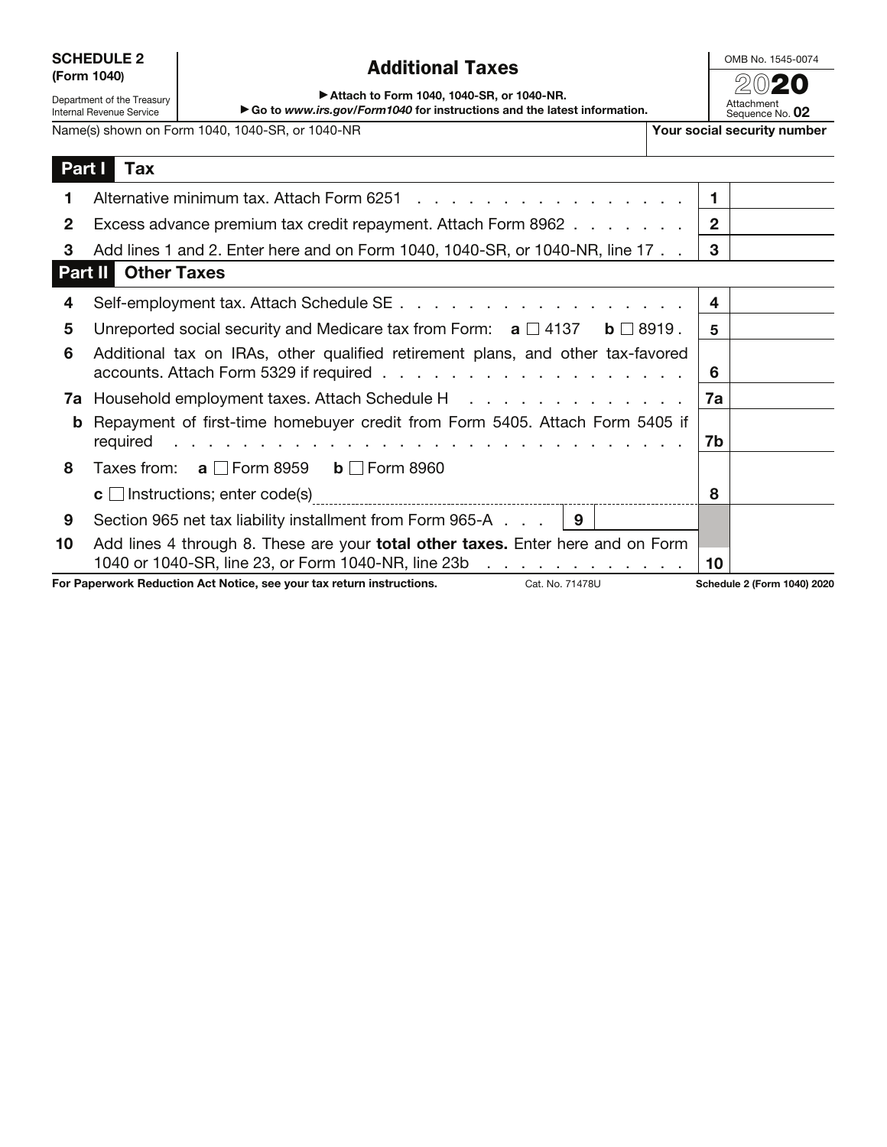|             | <b>SCHEDULE 2</b> |
|-------------|-------------------|
| (Form 1040) |                   |

Department of the Treasury Internal Revenue Service

## **Additional Taxes**<br>20**20** *Parameter and SB of 1949* **MP**

OMB No. 1545-0074

▶ Attach to Form 1040, 1040-SR, or 1040-NR.

<sup>a</sup> **Go to** *www.irs.gov/Form1040* **for instructions and the latest information.**

Attachment Sequence No. **02** Name(s) shown on Form 1040, 1040-SR, or 1040-NR **Your social security number** 

|    | Part I<br>Tax                                                                                                                                                                                                                                                                                                             |                |                             |
|----|---------------------------------------------------------------------------------------------------------------------------------------------------------------------------------------------------------------------------------------------------------------------------------------------------------------------------|----------------|-----------------------------|
| 1. |                                                                                                                                                                                                                                                                                                                           | $\blacksquare$ |                             |
| 2  | Excess advance premium tax credit repayment. Attach Form 8962                                                                                                                                                                                                                                                             | $\overline{2}$ |                             |
| 3  | Add lines 1 and 2. Enter here and on Form 1040, 1040-SR, or 1040-NR, line 17                                                                                                                                                                                                                                              | 3              |                             |
|    | <b>Part II</b> Other Taxes                                                                                                                                                                                                                                                                                                |                |                             |
| 4  |                                                                                                                                                                                                                                                                                                                           | 4              |                             |
| 5  | Unreported social security and Medicare tax from Form: $a \Box 4137 \quad b \Box 8919$ .                                                                                                                                                                                                                                  | 5              |                             |
| 6  | Additional tax on IRAs, other qualified retirement plans, and other tax-favored                                                                                                                                                                                                                                           | 6              |                             |
|    | <b>7a</b> Household employment taxes. Attach Schedule H                                                                                                                                                                                                                                                                   | 7a             |                             |
| b  | Repayment of first-time homebuyer credit from Form 5405. Attach Form 5405 if<br>required<br>a constitution of the constitution of the constitution of the constitution of the constitution of the constitution of the constitution of the constitution of the constitution of the constitution of the constitution of the | 7b             |                             |
| 8  | Taxes from: $a \Box$ Form 8959 $b \Box$ Form 8960                                                                                                                                                                                                                                                                         |                |                             |
|    |                                                                                                                                                                                                                                                                                                                           | 8              |                             |
| 9  | Section 965 net tax liability installment from Form 965-A $\ldots$   9                                                                                                                                                                                                                                                    |                |                             |
| 10 | Add lines 4 through 8. These are your <b>total other taxes.</b> Enter here and on Form<br>1040 or 1040-SR, line 23, or Form 1040-NR, line 23b                                                                                                                                                                             | 10             |                             |
|    | For Paperwork Reduction Act Notice, see your tax return instructions.<br>Cat. No. 71478U                                                                                                                                                                                                                                  |                | Schedule 2 (Form 1040) 2020 |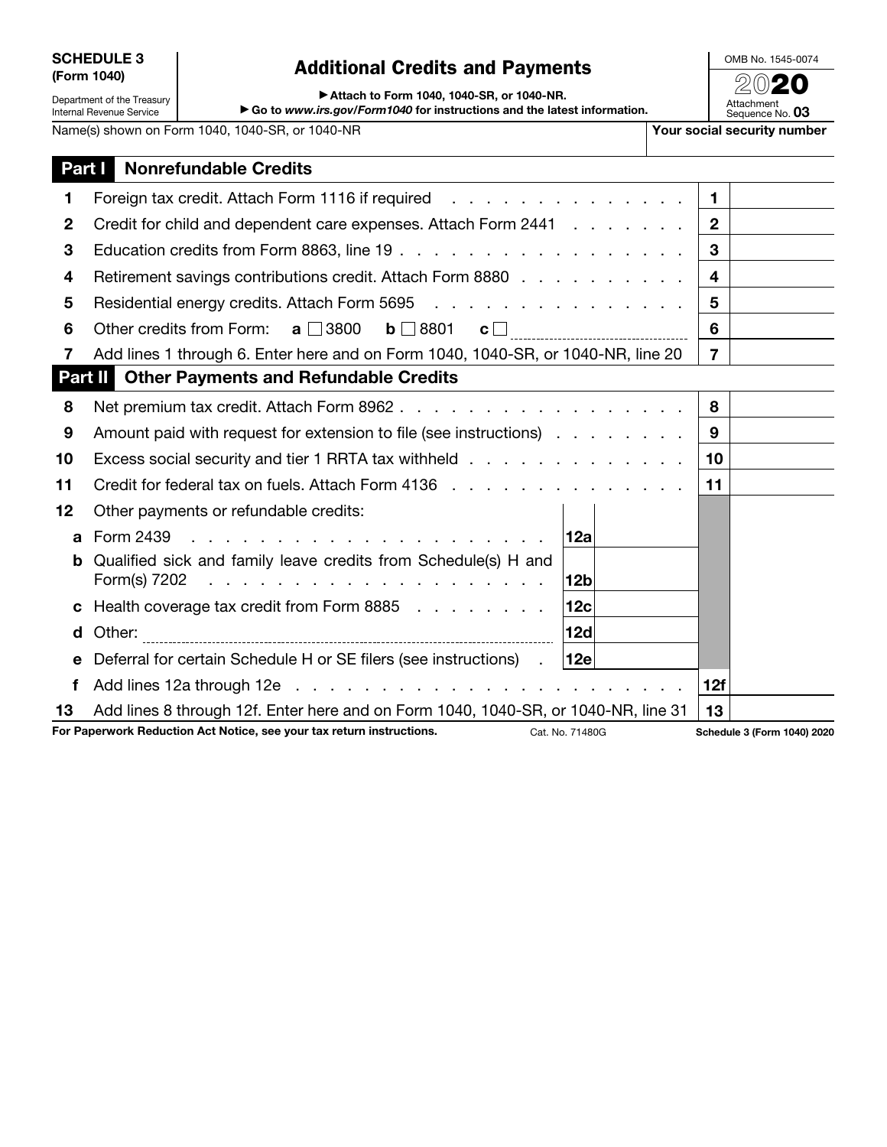| <b>SCHEDULE 3</b> |  |
|-------------------|--|
| (Form 1040)       |  |

Department of the Treasury Internal Revenue Service

## Additional Credits and Payments<br>**Example 2020**

OMB No. 1545-0074

▶ Attach to Form 1040, 1040-SR, or 1040-NR.

▶ Go to *www.irs.gov/Form1040* for instructions and the latest information.

Name(s) shown on Form 1040, 1040-SR, or 1040-NR **Y Y** 

| our social security number    |
|-------------------------------|
| Attachment<br>Sequence No. 03 |

| Part I      | <b>Nonrefundable Credits</b>                                                                                                          |                 |                |                             |
|-------------|---------------------------------------------------------------------------------------------------------------------------------------|-----------------|----------------|-----------------------------|
| 1           |                                                                                                                                       |                 | $\mathbf{1}$   |                             |
| $\mathbf 2$ | Credit for child and dependent care expenses. Attach Form 2441                                                                        |                 | $\mathbf{2}$   |                             |
| 3           |                                                                                                                                       |                 | 3              |                             |
| 4           | Retirement savings contributions credit. Attach Form 8880                                                                             |                 | 4              |                             |
| 5           | Residential energy credits. Attach Form 5695                                                                                          |                 | 5              |                             |
| 6           | Other credits from Form: $a \Box 3800$ $b \Box 8801$ $c \Box$                                                                         |                 | 6              |                             |
| 7           | Add lines 1 through 6. Enter here and on Form 1040, 1040-SR, or 1040-NR, line 20                                                      |                 | $\overline{7}$ |                             |
|             | Part II<br><b>Other Payments and Refundable Credits</b>                                                                               |                 |                |                             |
| 8           |                                                                                                                                       |                 | 8              |                             |
| 9           | Amount paid with request for extension to file (see instructions)                                                                     |                 | 9              |                             |
| 10          | Excess social security and tier 1 RRTA tax withheld                                                                                   |                 | 10             |                             |
| 11          | Credit for federal tax on fuels. Attach Form 4136                                                                                     |                 | 11             |                             |
| 12          | Other payments or refundable credits:                                                                                                 |                 |                |                             |
| a           | Form 2439                                                                                                                             | 12a             |                |                             |
| b           | Qualified sick and family leave credits from Schedule(s) H and<br>Form(s) 7202<br>and a series and a series and a series and a series | 12b             |                |                             |
| C           | Health coverage tax credit from Form 8885                                                                                             | 12c             |                |                             |
| d           | Other:                                                                                                                                | 12d             |                |                             |
| e           | Deferral for certain Schedule H or SE filers (see instructions).                                                                      | 12e             |                |                             |
| f           |                                                                                                                                       |                 | 12f            |                             |
| 13          | Add lines 8 through 12f. Enter here and on Form 1040, 1040-SR, or 1040-NR, line 31                                                    |                 | 13             |                             |
|             | For Paperwork Reduction Act Notice, see your tax return instructions.                                                                 | Cat. No. 71480G |                | Schedule 3 (Form 1040) 2020 |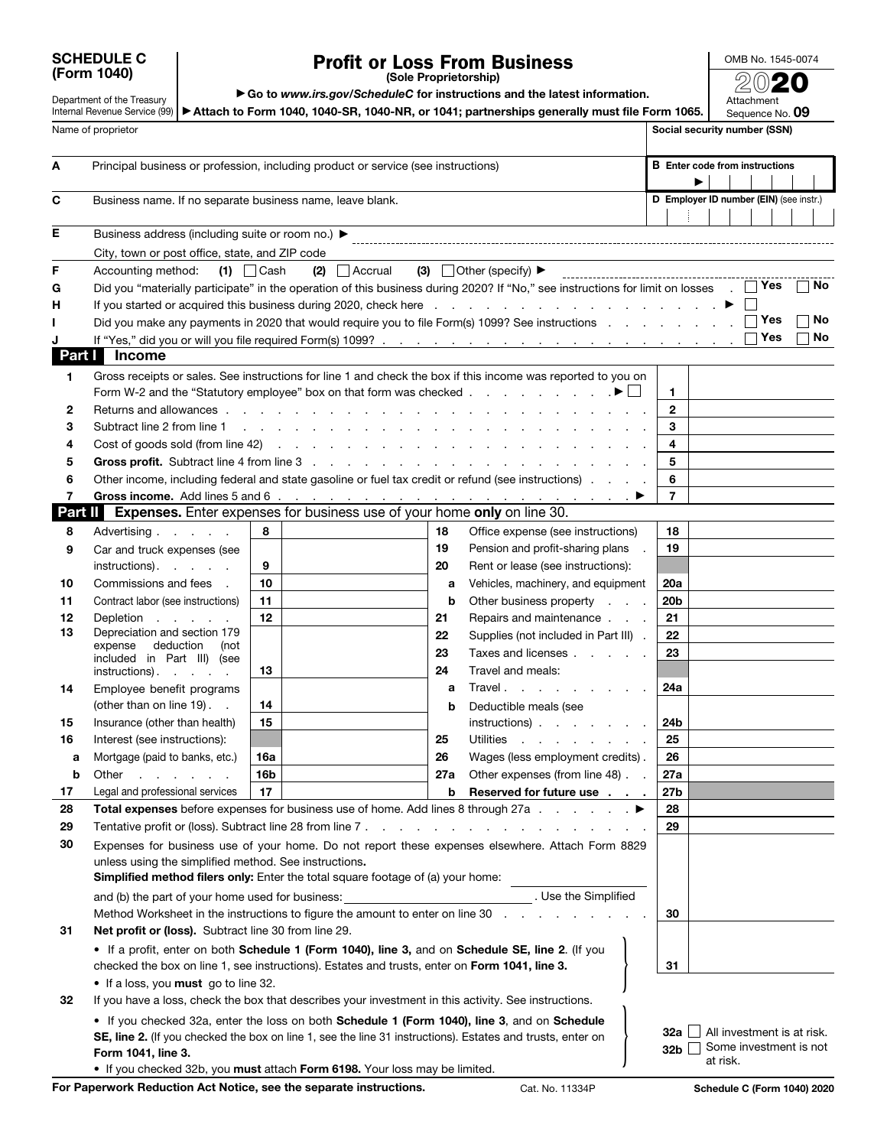| <b>SCHEDULE C</b> |  |
|-------------------|--|
| (Form 1040)       |  |

## **Profit or Loss From Business**

OMB No. 1545-0074 20**20**

**(Sole Proprietorship)**

Department of the Treasury

▶ Go to *www.irs.gov/ScheduleC* for instructions and the latest information.

Internal Revenue Service (99) | ▶Att**ach to Form 1040, 1040-SR, 1040-NR, or 1041; partnerships generally must file Form 1065.** Attachment Sequence No. **09**

|              | Name of proprietor                                         |                                                                                                      |                                                                                                                                                                                                                               | Social security number (SSN)                                                     |
|--------------|------------------------------------------------------------|------------------------------------------------------------------------------------------------------|-------------------------------------------------------------------------------------------------------------------------------------------------------------------------------------------------------------------------------|----------------------------------------------------------------------------------|
| A            |                                                            | Principal business or profession, including product or service (see instructions)                    |                                                                                                                                                                                                                               | <b>B</b> Enter code from instructions<br>▶                                       |
| С            | Business name. If no separate business name, leave blank.  |                                                                                                      |                                                                                                                                                                                                                               | D Employer ID number (EIN) (see instr.)                                          |
| Е            | Business address (including suite or room no.) ▶           |                                                                                                      |                                                                                                                                                                                                                               |                                                                                  |
|              | City, town or post office, state, and ZIP code             |                                                                                                      |                                                                                                                                                                                                                               |                                                                                  |
| F            | Accounting method:                                         | $(1)$ $\Box$ Cash<br>$(2)$ Accrual                                                                   | (3) Other (specify) $\blacktriangleright$                                                                                                                                                                                     |                                                                                  |
| G            |                                                            |                                                                                                      | Did you "materially participate" in the operation of this business during 2020? If "No," see instructions for limit on losses $\Box$ Yes                                                                                      | No                                                                               |
| н            |                                                            |                                                                                                      | If you started or acquired this business during 2020, check here expansion of the content of the books of the books of the books of the books of the books of the books of the books of the books of the books of the books o |                                                                                  |
|              |                                                            |                                                                                                      | Did you make any payments in 2020 that would require you to file Form(s) 1099? See instructions                                                                                                                               | Yes<br>No                                                                        |
|              |                                                            |                                                                                                      |                                                                                                                                                                                                                               | Yes<br>No                                                                        |
| Part I       | <b>Income</b>                                              |                                                                                                      |                                                                                                                                                                                                                               |                                                                                  |
| 1.<br>2      | Returns and allowances                                     |                                                                                                      | Gross receipts or sales. See instructions for line 1 and check the box if this income was reported to you on<br>the contract of the contract of the contract of                                                               | 1.<br>$\mathbf{2}$                                                               |
| з            | Subtract line 2 from line 1                                | and a strong control of the state of the                                                             |                                                                                                                                                                                                                               | 3                                                                                |
| 4            |                                                            |                                                                                                      |                                                                                                                                                                                                                               | 4                                                                                |
| 5            |                                                            |                                                                                                      |                                                                                                                                                                                                                               | 5                                                                                |
| 6            |                                                            |                                                                                                      | Other income, including federal and state gasoline or fuel tax credit or refund (see instructions)                                                                                                                            | 6                                                                                |
| 7<br>Part II |                                                            | <b>Expenses.</b> Enter expenses for business use of your home only on line 30.                       |                                                                                                                                                                                                                               | 7                                                                                |
| 8            |                                                            | 8                                                                                                    | 18<br>Office expense (see instructions)                                                                                                                                                                                       | 18                                                                               |
|              | Advertising                                                |                                                                                                      | 19<br>Pension and profit-sharing plans                                                                                                                                                                                        | 19                                                                               |
| 9            | Car and truck expenses (see<br>instructions).              | 9                                                                                                    | 20<br>Rent or lease (see instructions):                                                                                                                                                                                       |                                                                                  |
| 10           | Commissions and fees.                                      | 10                                                                                                   | Vehicles, machinery, and equipment<br>а                                                                                                                                                                                       | 20a                                                                              |
| 11           | Contract labor (see instructions)                          | 11                                                                                                   | Other business property<br>b<br><b>Contractor</b>                                                                                                                                                                             | 20 <sub>b</sub>                                                                  |
| 12           | Depletion                                                  | 12                                                                                                   | Repairs and maintenance<br>21                                                                                                                                                                                                 | 21                                                                               |
| 13           | Depreciation and section 179                               |                                                                                                      | 22<br>Supplies (not included in Part III).                                                                                                                                                                                    | 22                                                                               |
|              | deduction<br>expense<br>(not<br>included in Part III) (see |                                                                                                      | 23<br>Taxes and licenses                                                                                                                                                                                                      | 23                                                                               |
|              | instructions).                                             | 13                                                                                                   | Travel and meals:<br>24                                                                                                                                                                                                       |                                                                                  |
| 14           | Employee benefit programs                                  |                                                                                                      | Travel.<br>a                                                                                                                                                                                                                  | 24a                                                                              |
|              | (other than on line 19). .                                 | 14                                                                                                   | Deductible meals (see<br>b                                                                                                                                                                                                    |                                                                                  |
| 15           | Insurance (other than health)                              | 15                                                                                                   | $instructions)$ .                                                                                                                                                                                                             | 24 <sub>b</sub>                                                                  |
| 16           | Interest (see instructions):                               |                                                                                                      | 25<br><b>Utilities</b><br>and the company of the company of                                                                                                                                                                   | 25                                                                               |
| а            | Mortgage (paid to banks, etc.)                             | 16a                                                                                                  | 26<br>Wages (less employment credits).                                                                                                                                                                                        | 26                                                                               |
| b            | Other<br>and a strong control of                           | 16b                                                                                                  | Other expenses (from line 48).<br>27a                                                                                                                                                                                         | 27a                                                                              |
| 17           | Legal and professional services                            | 17                                                                                                   | Reserved for future use<br>b                                                                                                                                                                                                  | 27b                                                                              |
| 28           |                                                            |                                                                                                      | Total expenses before expenses for business use of home. Add lines 8 through 27a ▶                                                                                                                                            | 28                                                                               |
| 29           | Tentative profit or (loss). Subtract line 28 from line 7.  |                                                                                                      | the contract of the contract of the contract of the contract of the contract of the contract of the contract of                                                                                                               | 29                                                                               |
| 30           | unless using the simplified method. See instructions.      | <b>Simplified method filers only:</b> Enter the total square footage of (a) your home:               | Expenses for business use of your home. Do not report these expenses elsewhere. Attach Form 8829                                                                                                                              |                                                                                  |
|              | and (b) the part of your home used for business:           |                                                                                                      | . Use the Simplified                                                                                                                                                                                                          |                                                                                  |
|              |                                                            | Method Worksheet in the instructions to figure the amount to enter on line 30                        |                                                                                                                                                                                                                               | 30                                                                               |
| 31           | Net profit or (loss). Subtract line 30 from line 29.       |                                                                                                      |                                                                                                                                                                                                                               |                                                                                  |
|              |                                                            | checked the box on line 1, see instructions). Estates and trusts, enter on Form 1041, line 3.        | • If a profit, enter on both Schedule 1 (Form 1040), line 3, and on Schedule SE, line 2. (If you                                                                                                                              | 31                                                                               |
|              | . If a loss, you must go to line 32.                       |                                                                                                      |                                                                                                                                                                                                                               |                                                                                  |
| 32           |                                                            | If you have a loss, check the box that describes your investment in this activity. See instructions. |                                                                                                                                                                                                                               |                                                                                  |
|              | Form 1041, line 3.                                         | • If you checked 32b, you must attach Form 6198. Your loss may be limited.                           | • If you checked 32a, enter the loss on both Schedule 1 (Form 1040), line 3, and on Schedule<br>SE, line 2. (If you checked the box on line 1, see the line 31 instructions). Estates and trusts, enter on                    | All investment is at risk.<br>32a L<br>Some investment is not<br>32b<br>at risk. |